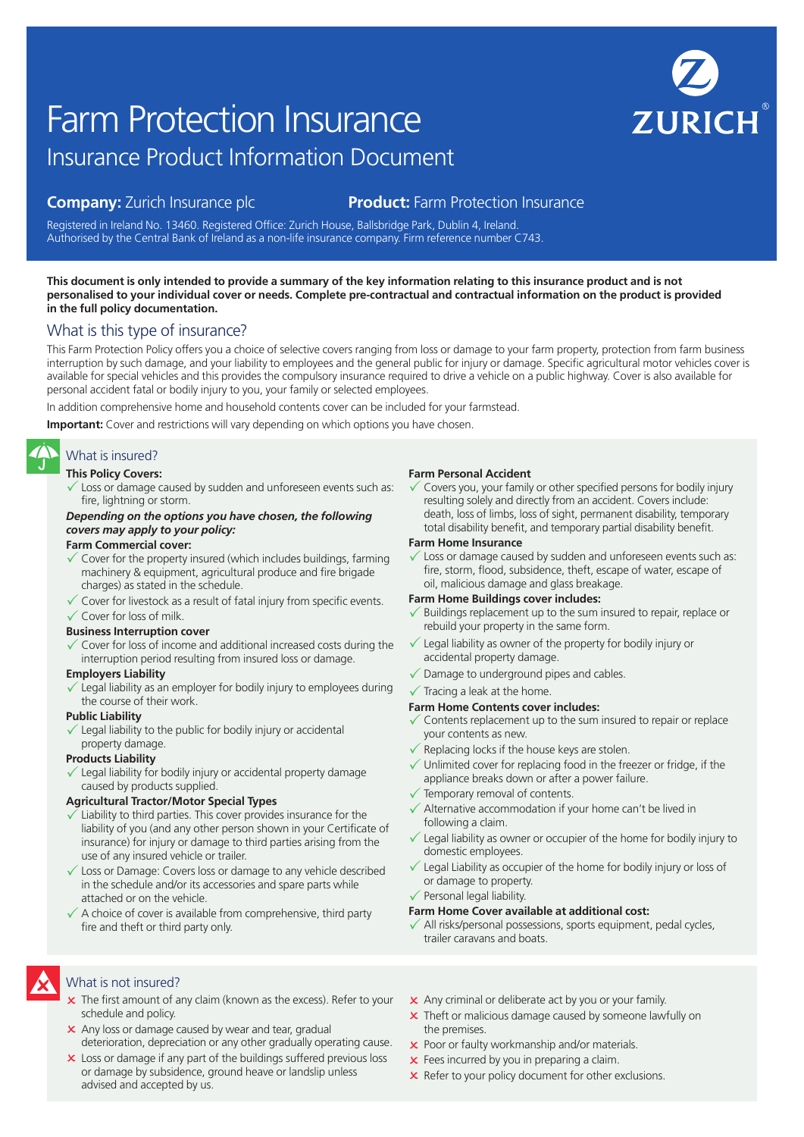# Insurance Product Information Document Farm Protection Insurance

# **Company:** Zurich Insurance plc **Product:** Farm Protection Insurance

Registered in Ireland No. 13460. Registered Office: Zurich House, Ballsbridge Park, Dublin 4, Ireland. Authorised by the Central Bank of Ireland as a non-life insurance company. Firm reference number C743.

#### **This document is only intended to provide a summary of the key information relating to this insurance product and is not personalised to your individual cover or needs. Complete pre-contractual and contractual information on the product is provided in the full policy documentation.**

# What is this type of insurance?

This Farm Protection Policy offers you a choice of selective covers ranging from loss or damage to your farm property, protection from farm business interruption by such damage, and your liability to employees and the general public for injury or damage. Specific agricultural motor vehicles cover is available for special vehicles and this provides the compulsory insurance required to drive a vehicle on a public highway. Cover is also available for personal accident fatal or bodily injury to you, your family or selected employees.

In addition comprehensive home and household contents cover can be included for your farmstead.

**Important:** Cover and restrictions will vary depending on which options you have chosen.

# What is insured?

#### **This Policy Covers:**

 $\checkmark$  Loss or damage caused by sudden and unforeseen events such as: fire, lightning or storm.

#### *Depending on the options you have chosen, the following covers may apply to your policy:*

#### **Farm Commercial cover:**

- Cover for the property insured (which includes buildings, farming machinery & equipment, agricultural produce and fire brigade charges) as stated in the schedule.
- $\checkmark$  Cover for livestock as a result of fatal injury from specific events.  $\checkmark$  Cover for loss of milk.

#### **Business Interruption cover**

 $\checkmark$  Cover for loss of income and additional increased costs during the interruption period resulting from insured loss or damage.

#### **Employers Liability**

 $\checkmark$  Legal liability as an employer for bodily injury to employees during the course of their work.

#### **Public Liability**

Legal liability to the public for bodily injury or accidental property damage.

#### **Products Liability**

Legal liability for bodily injury or accidental property damage caused by products supplied.

#### **Agricultural Tractor/Motor Special Types**

- Liability to third parties. This cover provides insurance for the liability of you (and any other person shown in your Certificate of insurance) for injury or damage to third parties arising from the use of any insured vehicle or trailer.
- $\sqrt{\ }$  Loss or Damage: Covers loss or damage to any vehicle described in the schedule and/or its accessories and spare parts while attached or on the vehicle.
- $\checkmark$  A choice of cover is available from comprehensive, third party fire and theft or third party only.

#### **Farm Personal Accident**

Covers you, your family or other specified persons for bodily injury resulting solely and directly from an accident. Covers include: death, loss of limbs, loss of sight, permanent disability, temporary total disability benefit, and temporary partial disability benefit.

#### **Farm Home Insurance**

Loss or damage caused by sudden and unforeseen events such as: fire, storm, flood, subsidence, theft, escape of water, escape of oil, malicious damage and glass breakage.

#### **Farm Home Buildings cover includes:**

- Buildings replacement up to the sum insured to repair, replace or rebuild your property in the same form.
- $\checkmark$  Legal liability as owner of the property for bodily injury or accidental property damage.
- $\sqrt{\ }$  Damage to underground pipes and cables.
- $\checkmark$  Tracing a leak at the home.

#### **Farm Home Contents cover includes:**

- $\checkmark$  Contents replacement up to the sum insured to repair or replace your contents as new.
- $\checkmark$  Replacing locks if the house keys are stolen.
- $\checkmark$  Unlimited cover for replacing food in the freezer or fridge, if the appliance breaks down or after a power failure.
- $\checkmark$  Temporary removal of contents.
- $\checkmark$  Alternative accommodation if your home can't be lived in following a claim.
- $\checkmark$  Legal liability as owner or occupier of the home for bodily injury to domestic employees.
- Legal Liability as occupier of the home for bodily injury or loss of or damage to property.
- $\checkmark$  Personal legal liability.

#### **Farm Home Cover available at additional cost:**

All risks/personal possessions, sports equipment, pedal cycles, trailer caravans and boats.

# What is not insured?

- $\times$  The first amount of any claim (known as the excess). Refer to your schedule and policy.
- x Any loss or damage caused by wear and tear, gradual deterioration, depreciation or any other gradually operating cause.
- **x** Loss or damage if any part of the buildings suffered previous loss or damage by subsidence, ground heave or landslip unless advised and accepted by us.
- **x** Any criminal or deliberate act by you or your family.
- **x** Theft or malicious damage caused by someone lawfully on the premises.
- **x** Poor or faulty workmanship and/or materials.
- $\times$  Fees incurred by you in preparing a claim.
- $\times$  Refer to your policy document for other exclusions.